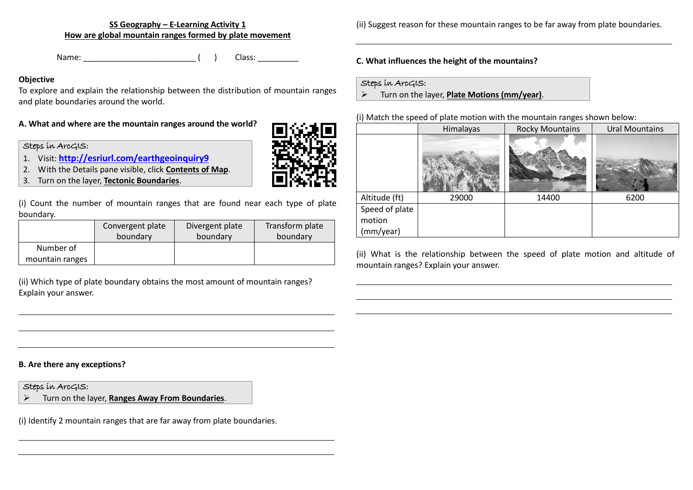**SS Geography – E-Learning Activity 1 How are global mountain ranges formed by plate movement**

Name: \_\_\_\_\_\_\_\_\_\_\_\_\_\_\_\_\_\_\_\_\_\_\_\_\_ ( ) Class: \_\_\_\_\_\_\_\_\_

### **Objective**

To explore and explain the relationship between the distribution of mountain ranges and plate boundaries around the world.

# **A. What and where are the mountain ranges around the world?**

### Steps in ArcGIS:

- 1. Visit: **<http://esriurl.com/earthgeoinquiry9>**
- 2. With the Details pane visible, click **Contents of Map**.
- 3. Turn on the layer, **Tectonic Boundaries**.

(i) Count the number of mountain ranges that are found near each type of plate boundary.

|                              | Convergent plate | Divergent plate | Transform plate |
|------------------------------|------------------|-----------------|-----------------|
|                              | boundary         | boundary        | boundary        |
| Number of<br>mountain ranges |                  |                 |                 |

(ii) Which type of plate boundary obtains the most amount of mountain ranges? Explain your answer.

**B. Are there any exceptions?**

# Steps in ArcGIS:

➢ Turn on the layer, **Ranges Away From Boundaries**.

(i) Identify 2 mountain ranges that are far away from plate boundaries.

(ii) Suggest reason for these mountain ranges to be far away from plate boundaries.

### **C. What influences the height of the mountains?**

#### Steps in ArcGIS:

➢ Turn on the layer, **Plate Motions (mm/year)**.

#### (i) Match the speed of plate motion with the mountain ranges shown below:

|                | Himalayas | <b>Rocky Mountains</b> | <b>Ural Mountains</b> |
|----------------|-----------|------------------------|-----------------------|
|                |           |                        |                       |
| Altitude (ft)  | 29000     | 14400                  | 6200                  |
| Speed of plate |           |                        |                       |
| motion         |           |                        |                       |
| (mm/year)      |           |                        |                       |

(ii) What is the relationship between the speed of plate motion and altitude of mountain ranges? Explain your answer.

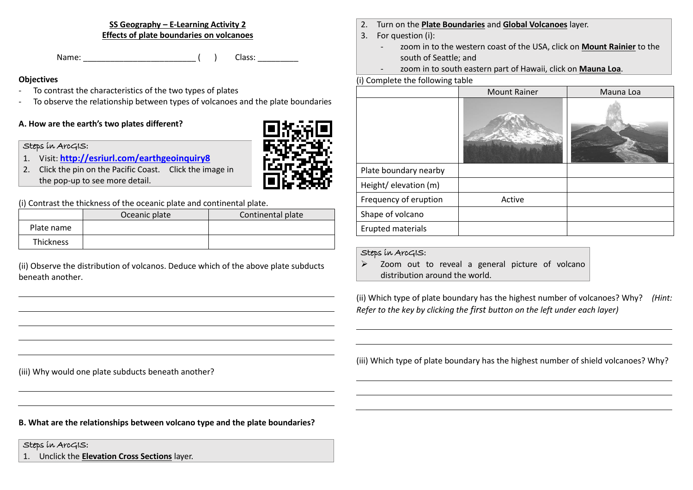**SS Geography – E-Learning Activity 2 Effects of plate boundaries on volcanoes**

Name: Cass: Cass: Cass: Cass: Cass: Cass: Cass: Cass: Cass: Cass: Cass: Cass: Cass: Cass: Cass: Cass: Cass: Cass: Cass: Cass: Cass: Cass: Cass: Cass: Cass: Cass: Cass: Cass: Cass: Cass: Cass: Cass: Cass: Cass: Cass: Cass:

#### **Objectives**

- To contrast the characteristics of the two types of plates
- To observe the relationship between types of volcanoes and the plate boundaries

### **A. How are the earth's two plates different?**

#### Steps in ArcGIS:

- 1. Visit: **<http://esriurl.com/earthgeoinquiry8>**
- 2. Click the pin on the Pacific Coast. Click the image in the pop-up to see more detail.

(i) Contrast the thickness of the oceanic plate and continental plate.

|                  | Oceanic plate | Continental plate |
|------------------|---------------|-------------------|
| Plate name       |               |                   |
| <b>Thickness</b> |               |                   |

(ii) Observe the distribution of volcanos. Deduce which of the above plate subducts beneath another.



- 2. Turn on the **Plate Boundaries** and **Global Volcanoes** layer.
- 3. For question (i):
	- zoom in to the western coast of the USA, click on **Mount Rainier** to the south of Seattle; and
	- zoom in to south eastern part of Hawaii, click on **Mauna Loa**.

#### (i) Complete the following table

|                          | <b>Mount Rainer</b> | Mauna Loa |
|--------------------------|---------------------|-----------|
|                          |                     |           |
| Plate boundary nearby    |                     |           |
| Height/ elevation (m)    |                     |           |
| Frequency of eruption    | Active              |           |
| Shape of volcano         |                     |           |
| <b>Erupted materials</b> |                     |           |

#### Steps in ArcGIS:

➢ Zoom out to reveal a general picture of volcano distribution around the world.

(ii) Which type of plate boundary has the highest number of volcanoes? Why? *(Hint: Refer to the key by clicking the first button on the left under each layer)*

(iii) Which type of plate boundary has the highest number of shield volcanoes? Why?

(iii) Why would one plate subducts beneath another?

**B. What are the relationships between volcano type and the plate boundaries?**

Steps in ArcGIS:

1. Unclick the **Elevation Cross Sections** layer.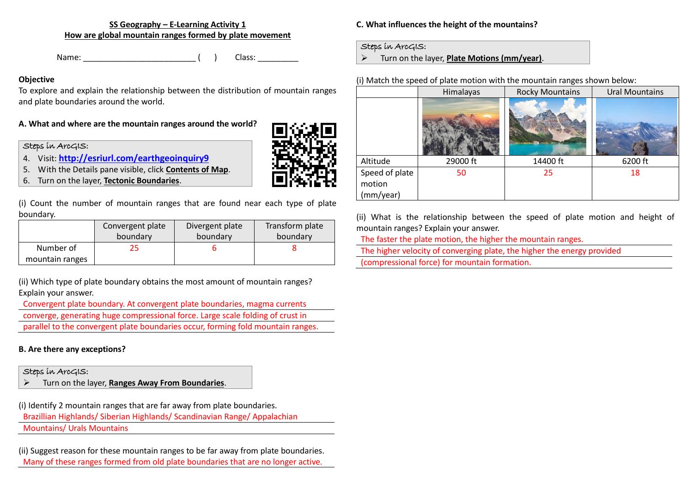**SS Geography – E-Learning Activity 1 How are global mountain ranges formed by plate movement**

Name: The class: the class: the class: the class: the class:  $($ 

#### **Objective**

To explore and explain the relationship between the distribution of mountain ranges and plate boundaries around the world.

### **A. What and where are the mountain ranges around the world?**

### Steps in ArcGIS:

- 4. Visit: **<http://esriurl.com/earthgeoinquiry9>**
- 5. With the Details pane visible, click **Contents of Map**.
- 6. Turn on the layer, **Tectonic Boundaries**.

(i) Count the number of mountain ranges that are found near each type of plate boundary.

|                 | Convergent plate | Divergent plate | Transform plate |
|-----------------|------------------|-----------------|-----------------|
|                 | boundary         | boundary        | boundary        |
| Number of       |                  |                 |                 |
| mountain ranges |                  |                 |                 |

(ii) Which type of plate boundary obtains the most amount of mountain ranges? Explain your answer.

Convergent plate boundary. At convergent plate boundaries, magma currents converge, generating huge compressional force. Large scale folding of crust in parallel to the convergent plate boundaries occur, forming fold mountain ranges.

### **B. Are there any exceptions?**

### Steps in ArcGIS:

➢ Turn on the layer, **Ranges Away From Boundaries**.

(i) Identify 2 mountain ranges that are far away from plate boundaries.

Brazillian Highlands/ Siberian Highlands/ Scandinavian Range/ Appalachian

Mountains/ Urals Mountains

(ii) Suggest reason for these mountain ranges to be far away from plate boundaries. Many of these ranges formed from old plate boundaries that are no longer active.

**C. What influences the height of the mountains?**

### Steps in ArcGIS:

➢ Turn on the layer, **Plate Motions (mm/year)**.

### (i) Match the speed of plate motion with the mountain ranges shown below:

|                                       | Himalayas | <b>Rocky Mountains</b> | <b>Ural Mountains</b> |
|---------------------------------------|-----------|------------------------|-----------------------|
|                                       |           |                        |                       |
| Altitude                              | 29000 ft  | 14400 ft               | 6200 ft               |
| Speed of plate<br>motion<br>(mm/year) | 50        | 25                     | 18                    |

(ii) What is the relationship between the speed of plate motion and height of mountain ranges? Explain your answer.

The faster the plate motion, the higher the mountain ranges.

The higher velocity of converging plate, the higher the energy provided

(compressional force) for mountain formation.